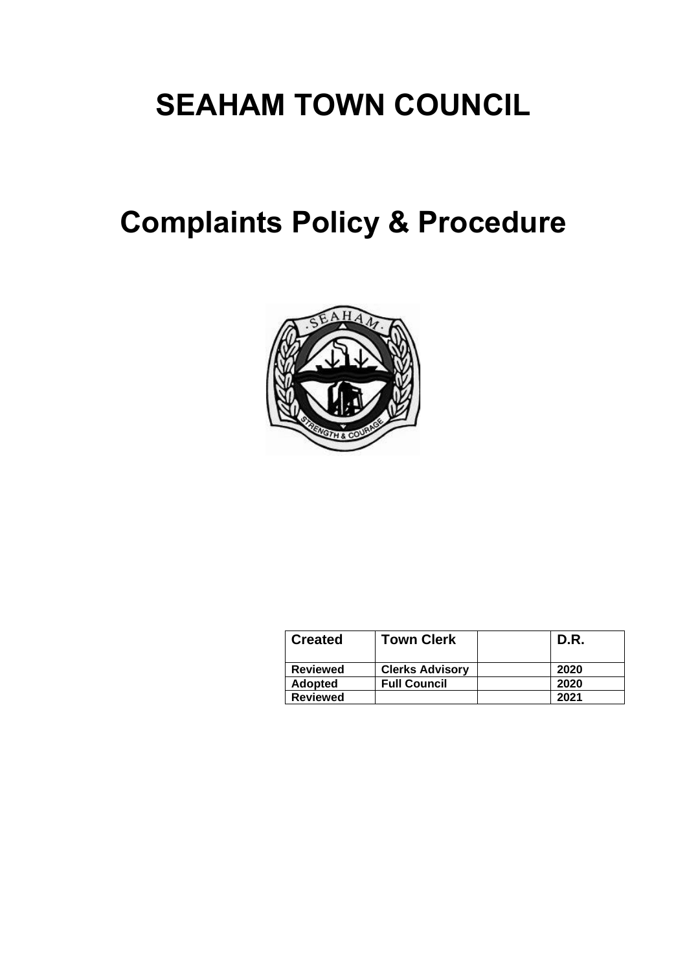# **SEAHAM TOWN COUNCIL**

# **Complaints Policy & Procedure**



| <b>Created</b>  | <b>Town Clerk</b>      | D.R. |
|-----------------|------------------------|------|
| <b>Reviewed</b> | <b>Clerks Advisory</b> | 2020 |
| <b>Adopted</b>  | <b>Full Council</b>    | 2020 |
| <b>Reviewed</b> |                        | 2021 |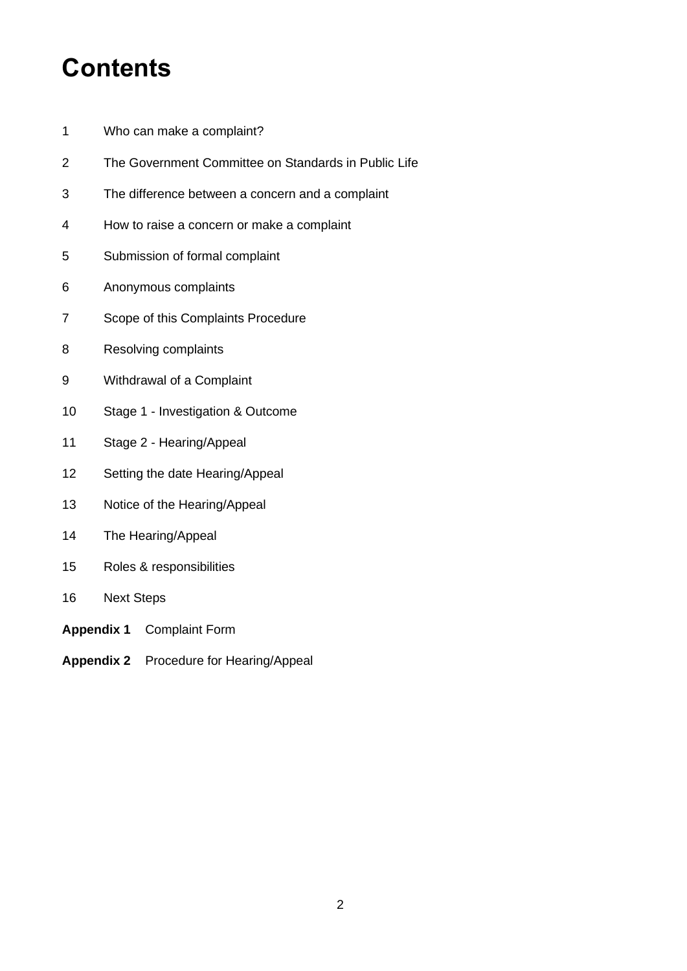# **Contents**

- Who can make a complaint?
- The Government Committee on Standards in Public Life
- The difference between a concern and a complaint
- How to raise a concern or make a complaint
- Submission of formal complaint
- Anonymous complaints
- Scope of this Complaints Procedure
- Resolving complaints
- Withdrawal of a Complaint
- Stage 1 Investigation & Outcome
- Stage 2 Hearing/Appeal
- Setting the date Hearing/Appeal
- Notice of the Hearing/Appeal
- The Hearing/Appeal
- Roles & responsibilities
- Next Steps
- **Appendix 1** Complaint Form
- **Appendix 2** Procedure for Hearing/Appeal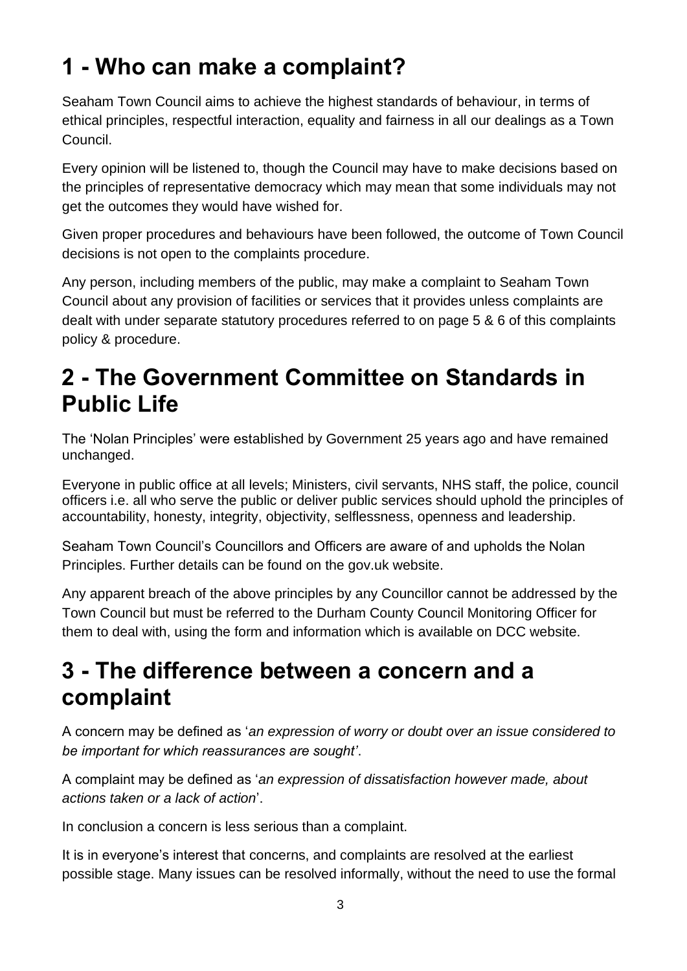# **1 - Who can make a complaint?**

Seaham Town Council aims to achieve the highest standards of behaviour, in terms of ethical principles, respectful interaction, equality and fairness in all our dealings as a Town Council.

Every opinion will be listened to, though the Council may have to make decisions based on the principles of representative democracy which may mean that some individuals may not get the outcomes they would have wished for.

Given proper procedures and behaviours have been followed, the outcome of Town Council decisions is not open to the complaints procedure.

Any person, including members of the public, may make a complaint to Seaham Town Council about any provision of facilities or services that it provides unless complaints are dealt with under separate statutory procedures referred to on page 5 & 6 of this complaints policy & procedure.

## **2 - The Government Committee on Standards in Public Life**

The 'Nolan Principles' were established by Government 25 years ago and have remained unchanged.

Everyone in public office at all levels; Ministers, civil servants, NHS staff, the police, council officers i.e. all who serve the public or deliver public services should uphold the principles of accountability, honesty, integrity, objectivity, selflessness, openness and leadership.

Seaham Town Council's Councillors and Officers are aware of and upholds the Nolan Principles. Further details can be found on the gov.uk website.

Any apparent breach of the above principles by any Councillor cannot be addressed by the Town Council but must be referred to the Durham County Council Monitoring Officer for them to deal with, using the form and information which is available on DCC website.

### **3 - The difference between a concern and a complaint**

A concern may be defined as '*an expression of worry or doubt over an issue considered to be important for which reassurances are sought'*.

A complaint may be defined as '*an expression of dissatisfaction however made, about actions taken or a lack of action*'.

In conclusion a concern is less serious than a complaint.

It is in everyone's interest that concerns, and complaints are resolved at the earliest possible stage. Many issues can be resolved informally, without the need to use the formal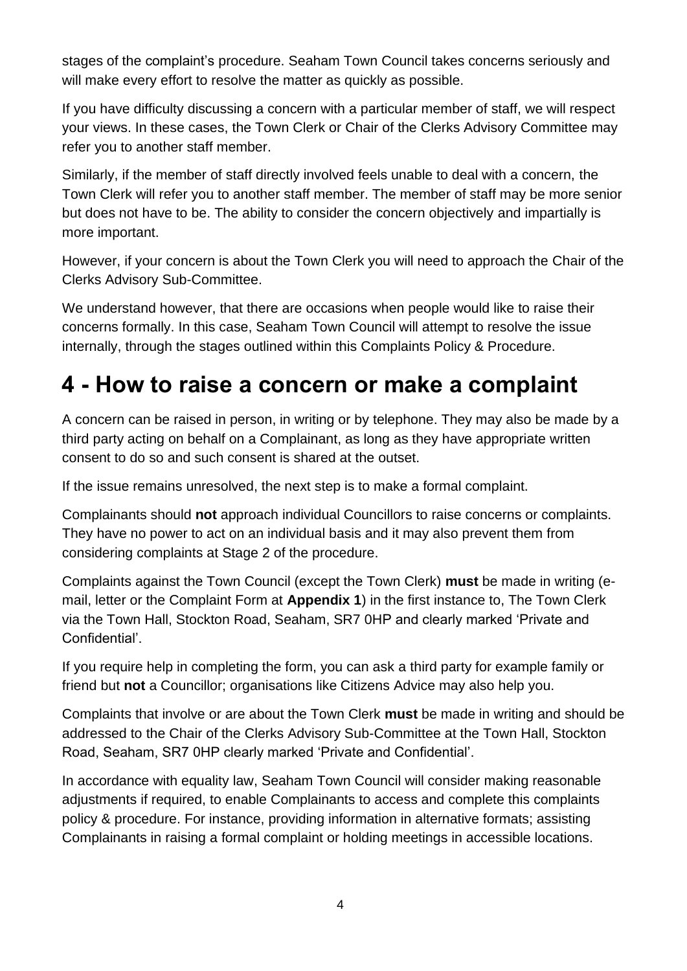stages of the complaint's procedure. Seaham Town Council takes concerns seriously and will make every effort to resolve the matter as quickly as possible.

If you have difficulty discussing a concern with a particular member of staff, we will respect your views. In these cases, the Town Clerk or Chair of the Clerks Advisory Committee may refer you to another staff member.

Similarly, if the member of staff directly involved feels unable to deal with a concern, the Town Clerk will refer you to another staff member. The member of staff may be more senior but does not have to be. The ability to consider the concern objectively and impartially is more important.

However, if your concern is about the Town Clerk you will need to approach the Chair of the Clerks Advisory Sub-Committee.

We understand however, that there are occasions when people would like to raise their concerns formally. In this case, Seaham Town Council will attempt to resolve the issue internally, through the stages outlined within this Complaints Policy & Procedure.

# **4 - How to raise a concern or make a complaint**

A concern can be raised in person, in writing or by telephone. They may also be made by a third party acting on behalf on a Complainant, as long as they have appropriate written consent to do so and such consent is shared at the outset.

If the issue remains unresolved, the next step is to make a formal complaint.

Complainants should **not** approach individual Councillors to raise concerns or complaints. They have no power to act on an individual basis and it may also prevent them from considering complaints at Stage 2 of the procedure.

Complaints against the Town Council (except the Town Clerk) **must** be made in writing (email, letter or the Complaint Form at **Appendix 1**) in the first instance to, The Town Clerk via the Town Hall, Stockton Road, Seaham, SR7 0HP and clearly marked 'Private and Confidential'.

If you require help in completing the form, you can ask a third party for example family or friend but **not** a Councillor; organisations like Citizens Advice may also help you.

Complaints that involve or are about the Town Clerk **must** be made in writing and should be addressed to the Chair of the Clerks Advisory Sub-Committee at the Town Hall, Stockton Road, Seaham, SR7 0HP clearly marked 'Private and Confidential'.

In accordance with equality law, Seaham Town Council will consider making reasonable adjustments if required, to enable Complainants to access and complete this complaints policy & procedure. For instance, providing information in alternative formats; assisting Complainants in raising a formal complaint or holding meetings in accessible locations.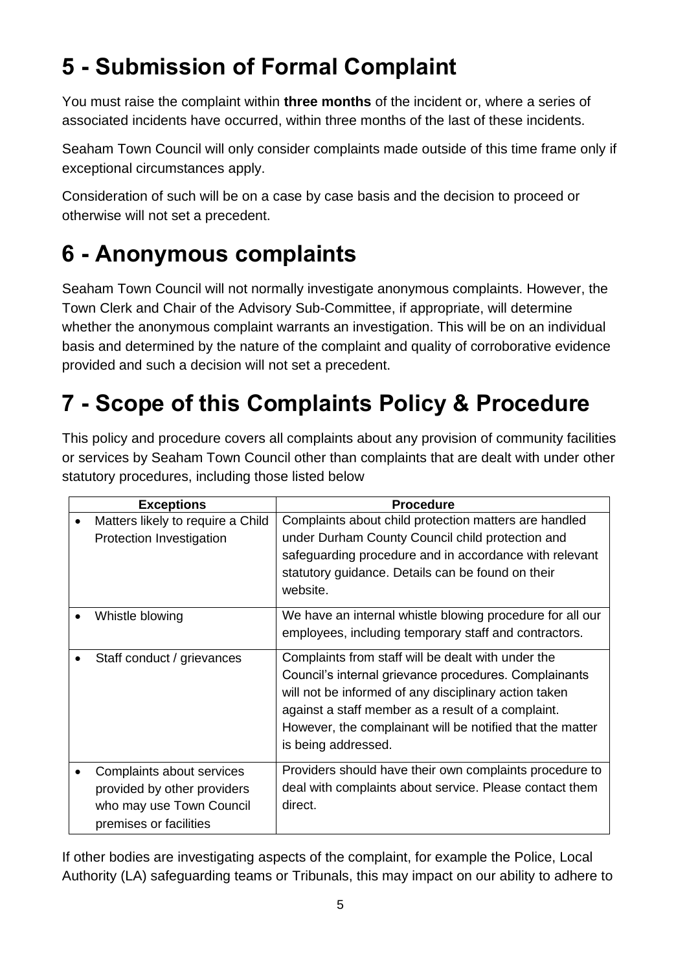# **5 - Submission of Formal Complaint**

You must raise the complaint within **three months** of the incident or, where a series of associated incidents have occurred, within three months of the last of these incidents.

Seaham Town Council will only consider complaints made outside of this time frame only if exceptional circumstances apply.

Consideration of such will be on a case by case basis and the decision to proceed or otherwise will not set a precedent.

# **6 - Anonymous complaints**

Seaham Town Council will not normally investigate anonymous complaints. However, the Town Clerk and Chair of the Advisory Sub-Committee, if appropriate, will determine whether the anonymous complaint warrants an investigation. This will be on an individual basis and determined by the nature of the complaint and quality of corroborative evidence provided and such a decision will not set a precedent.

# **7 - Scope of this Complaints Policy & Procedure**

This policy and procedure covers all complaints about any provision of community facilities or services by Seaham Town Council other than complaints that are dealt with under other statutory procedures, including those listed below

| <b>Exceptions</b> |                                                                                                                | <b>Procedure</b>                                                                                                                                                                                                                                                                                               |  |
|-------------------|----------------------------------------------------------------------------------------------------------------|----------------------------------------------------------------------------------------------------------------------------------------------------------------------------------------------------------------------------------------------------------------------------------------------------------------|--|
|                   | Matters likely to require a Child<br>Protection Investigation                                                  | Complaints about child protection matters are handled<br>under Durham County Council child protection and<br>safeguarding procedure and in accordance with relevant<br>statutory guidance. Details can be found on their<br>website.                                                                           |  |
|                   | Whistle blowing                                                                                                | We have an internal whistle blowing procedure for all our<br>employees, including temporary staff and contractors.                                                                                                                                                                                             |  |
|                   | Staff conduct / grievances                                                                                     | Complaints from staff will be dealt with under the<br>Council's internal grievance procedures. Complainants<br>will not be informed of any disciplinary action taken<br>against a staff member as a result of a complaint.<br>However, the complainant will be notified that the matter<br>is being addressed. |  |
|                   | Complaints about services<br>provided by other providers<br>who may use Town Council<br>premises or facilities | Providers should have their own complaints procedure to<br>deal with complaints about service. Please contact them<br>direct.                                                                                                                                                                                  |  |

If other bodies are investigating aspects of the complaint, for example the Police, Local Authority (LA) safeguarding teams or Tribunals, this may impact on our ability to adhere to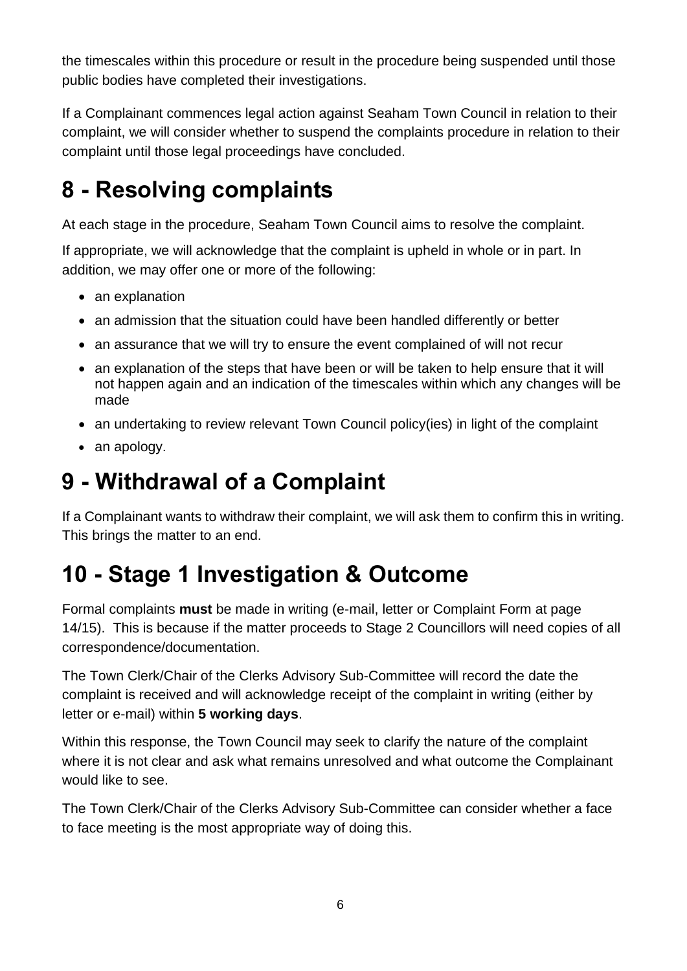the timescales within this procedure or result in the procedure being suspended until those public bodies have completed their investigations.

If a Complainant commences legal action against Seaham Town Council in relation to their complaint, we will consider whether to suspend the complaints procedure in relation to their complaint until those legal proceedings have concluded.

# **8 - Resolving complaints**

At each stage in the procedure, Seaham Town Council aims to resolve the complaint.

If appropriate, we will acknowledge that the complaint is upheld in whole or in part. In addition, we may offer one or more of the following:

- an explanation
- an admission that the situation could have been handled differently or better
- an assurance that we will try to ensure the event complained of will not recur
- an explanation of the steps that have been or will be taken to help ensure that it will not happen again and an indication of the timescales within which any changes will be made
- an undertaking to review relevant Town Council policy (ies) in light of the complaint
- an apology.

### **9 - Withdrawal of a Complaint**

If a Complainant wants to withdraw their complaint, we will ask them to confirm this in writing. This brings the matter to an end.

# **10 - Stage 1 Investigation & Outcome**

Formal complaints **must** be made in writing (e-mail, letter or Complaint Form at page 14/15). This is because if the matter proceeds to Stage 2 Councillors will need copies of all correspondence/documentation.

The Town Clerk/Chair of the Clerks Advisory Sub-Committee will record the date the complaint is received and will acknowledge receipt of the complaint in writing (either by letter or e-mail) within **5 working days**.

Within this response, the Town Council may seek to clarify the nature of the complaint where it is not clear and ask what remains unresolved and what outcome the Complainant would like to see.

The Town Clerk/Chair of the Clerks Advisory Sub-Committee can consider whether a face to face meeting is the most appropriate way of doing this.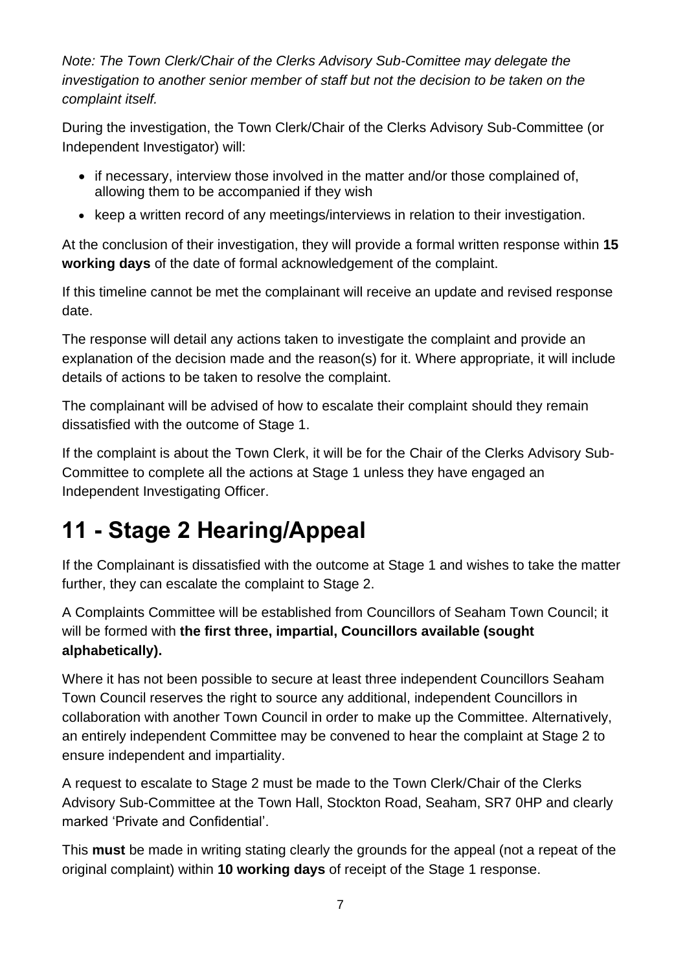*Note: The Town Clerk/Chair of the Clerks Advisory Sub-Comittee may delegate the investigation to another senior member of staff but not the decision to be taken on the complaint itself.*

During the investigation, the Town Clerk/Chair of the Clerks Advisory Sub-Committee (or Independent Investigator) will:

- if necessary, interview those involved in the matter and/or those complained of, allowing them to be accompanied if they wish
- keep a written record of any meetings/interviews in relation to their investigation.

At the conclusion of their investigation, they will provide a formal written response within **15 working days** of the date of formal acknowledgement of the complaint.

If this timeline cannot be met the complainant will receive an update and revised response date.

The response will detail any actions taken to investigate the complaint and provide an explanation of the decision made and the reason(s) for it. Where appropriate, it will include details of actions to be taken to resolve the complaint.

The complainant will be advised of how to escalate their complaint should they remain dissatisfied with the outcome of Stage 1.

If the complaint is about the Town Clerk, it will be for the Chair of the Clerks Advisory Sub-Committee to complete all the actions at Stage 1 unless they have engaged an Independent Investigating Officer.

# **11 - Stage 2 Hearing/Appeal**

If the Complainant is dissatisfied with the outcome at Stage 1 and wishes to take the matter further, they can escalate the complaint to Stage 2.

A Complaints Committee will be established from Councillors of Seaham Town Council; it will be formed with **the first three, impartial, Councillors available (sought alphabetically).**

Where it has not been possible to secure at least three independent Councillors Seaham Town Council reserves the right to source any additional, independent Councillors in collaboration with another Town Council in order to make up the Committee. Alternatively, an entirely independent Committee may be convened to hear the complaint at Stage 2 to ensure independent and impartiality.

A request to escalate to Stage 2 must be made to the Town Clerk/Chair of the Clerks Advisory Sub-Committee at the Town Hall, Stockton Road, Seaham, SR7 0HP and clearly marked 'Private and Confidential'.

This **must** be made in writing stating clearly the grounds for the appeal (not a repeat of the original complaint) within **10 working days** of receipt of the Stage 1 response.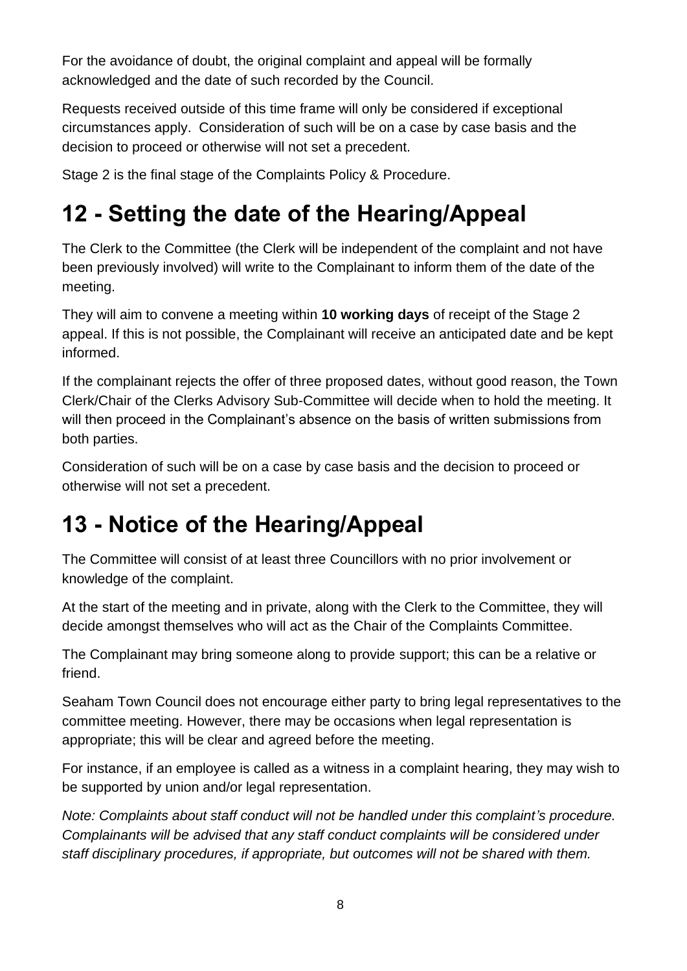For the avoidance of doubt, the original complaint and appeal will be formally acknowledged and the date of such recorded by the Council.

Requests received outside of this time frame will only be considered if exceptional circumstances apply. Consideration of such will be on a case by case basis and the decision to proceed or otherwise will not set a precedent.

Stage 2 is the final stage of the Complaints Policy & Procedure.

# **12 - Setting the date of the Hearing/Appeal**

The Clerk to the Committee (the Clerk will be independent of the complaint and not have been previously involved) will write to the Complainant to inform them of the date of the meeting.

They will aim to convene a meeting within **10 working days** of receipt of the Stage 2 appeal. If this is not possible, the Complainant will receive an anticipated date and be kept informed.

If the complainant rejects the offer of three proposed dates, without good reason, the Town Clerk/Chair of the Clerks Advisory Sub-Committee will decide when to hold the meeting. It will then proceed in the Complainant's absence on the basis of written submissions from both parties.

Consideration of such will be on a case by case basis and the decision to proceed or otherwise will not set a precedent.

# **13 - Notice of the Hearing/Appeal**

The Committee will consist of at least three Councillors with no prior involvement or knowledge of the complaint.

At the start of the meeting and in private, along with the Clerk to the Committee, they will decide amongst themselves who will act as the Chair of the Complaints Committee.

The Complainant may bring someone along to provide support; this can be a relative or friend.

Seaham Town Council does not encourage either party to bring legal representatives to the committee meeting. However, there may be occasions when legal representation is appropriate; this will be clear and agreed before the meeting.

For instance, if an employee is called as a witness in a complaint hearing, they may wish to be supported by union and/or legal representation.

*Note: Complaints about staff conduct will not be handled under this complaint's procedure. Complainants will be advised that any staff conduct complaints will be considered under staff disciplinary procedures, if appropriate, but outcomes will not be shared with them.*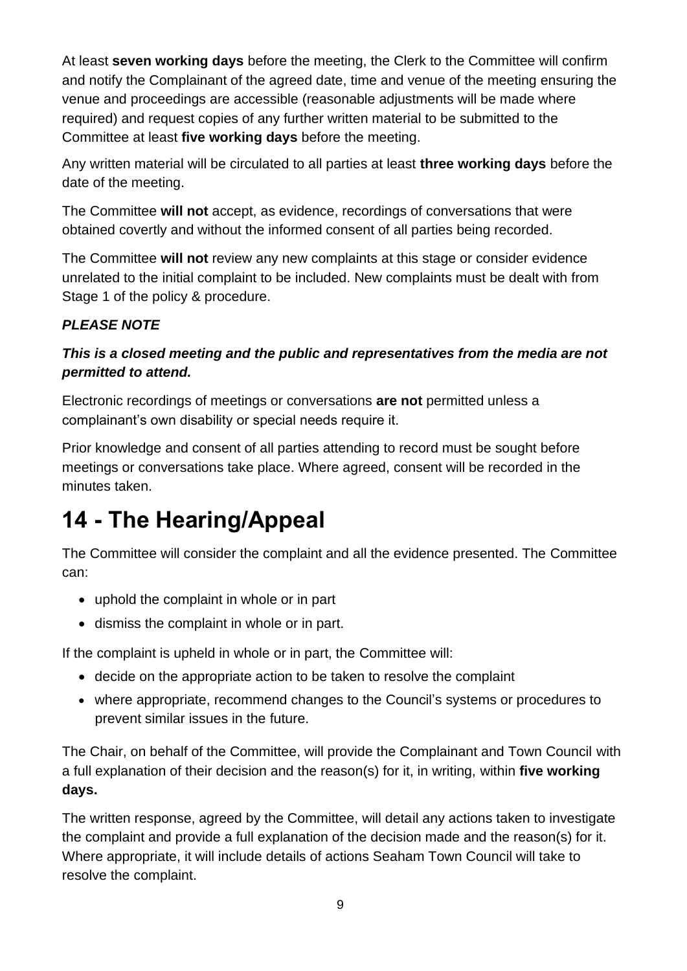At least **seven working days** before the meeting, the Clerk to the Committee will confirm and notify the Complainant of the agreed date, time and venue of the meeting ensuring the venue and proceedings are accessible (reasonable adjustments will be made where required) and request copies of any further written material to be submitted to the Committee at least **five working days** before the meeting.

Any written material will be circulated to all parties at least **three working days** before the date of the meeting.

The Committee **will not** accept, as evidence, recordings of conversations that were obtained covertly and without the informed consent of all parties being recorded.

The Committee **will not** review any new complaints at this stage or consider evidence unrelated to the initial complaint to be included. New complaints must be dealt with from Stage 1 of the policy & procedure.

### *PLEASE NOTE*

### *This is a closed meeting and the public and representatives from the media are not permitted to attend.*

Electronic recordings of meetings or conversations **are not** permitted unless a complainant's own disability or special needs require it.

Prior knowledge and consent of all parties attending to record must be sought before meetings or conversations take place. Where agreed, consent will be recorded in the minutes taken.

# **14 - The Hearing/Appeal**

The Committee will consider the complaint and all the evidence presented. The Committee can:

- uphold the complaint in whole or in part
- dismiss the complaint in whole or in part.

If the complaint is upheld in whole or in part, the Committee will:

- decide on the appropriate action to be taken to resolve the complaint
- where appropriate, recommend changes to the Council's systems or procedures to prevent similar issues in the future.

The Chair, on behalf of the Committee, will provide the Complainant and Town Council with a full explanation of their decision and the reason(s) for it, in writing, within **five working days.** 

The written response, agreed by the Committee, will detail any actions taken to investigate the complaint and provide a full explanation of the decision made and the reason(s) for it. Where appropriate, it will include details of actions Seaham Town Council will take to resolve the complaint.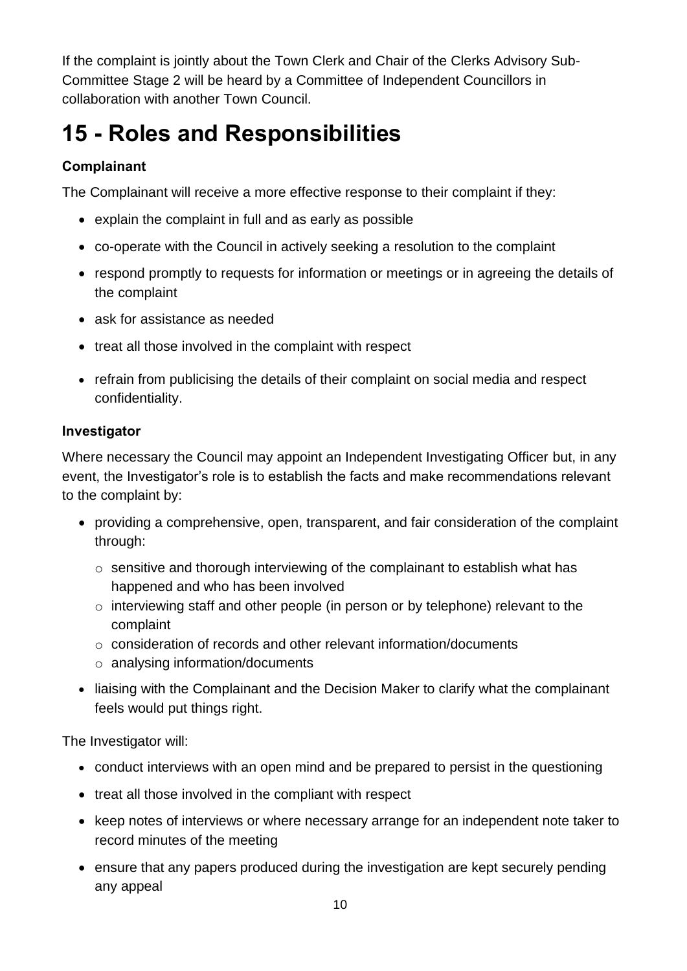If the complaint is jointly about the Town Clerk and Chair of the Clerks Advisory Sub-Committee Stage 2 will be heard by a Committee of Independent Councillors in collaboration with another Town Council.

# **15 - Roles and Responsibilities**

### **Complainant**

The Complainant will receive a more effective response to their complaint if they:

- explain the complaint in full and as early as possible
- co-operate with the Council in actively seeking a resolution to the complaint
- respond promptly to requests for information or meetings or in agreeing the details of the complaint
- ask for assistance as needed
- treat all those involved in the complaint with respect
- refrain from publicising the details of their complaint on social media and respect confidentiality.

#### **Investigator**

Where necessary the Council may appoint an Independent Investigating Officer but, in any event, the Investigator's role is to establish the facts and make recommendations relevant to the complaint by:

- providing a comprehensive, open, transparent, and fair consideration of the complaint through:
	- o sensitive and thorough interviewing of the complainant to establish what has happened and who has been involved
	- o interviewing staff and other people (in person or by telephone) relevant to the complaint
	- $\circ$  consideration of records and other relevant information/documents
	- o analysing information/documents
- liaising with the Complainant and the Decision Maker to clarify what the complainant feels would put things right.

The Investigator will:

- conduct interviews with an open mind and be prepared to persist in the questioning
- treat all those involved in the compliant with respect
- keep notes of interviews or where necessary arrange for an independent note taker to record minutes of the meeting
- ensure that any papers produced during the investigation are kept securely pending any appeal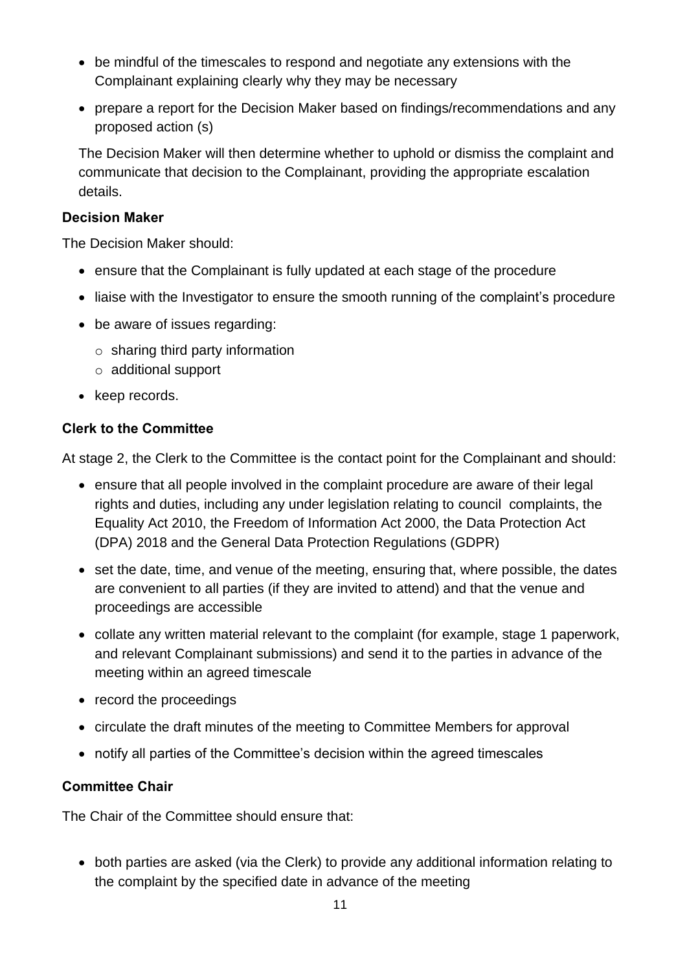- be mindful of the timescales to respond and negotiate any extensions with the Complainant explaining clearly why they may be necessary
- prepare a report for the Decision Maker based on findings/recommendations and any proposed action (s)

The Decision Maker will then determine whether to uphold or dismiss the complaint and communicate that decision to the Complainant, providing the appropriate escalation details.

#### **Decision Maker**

The Decision Maker should:

- ensure that the Complainant is fully updated at each stage of the procedure
- liaise with the Investigator to ensure the smooth running of the complaint's procedure
- be aware of issues regarding:
	- $\circ$  sharing third party information
	- o additional support
- keep records.

#### **Clerk to the Committee**

At stage 2, the Clerk to the Committee is the contact point for the Complainant and should:

- ensure that all people involved in the complaint procedure are aware of their legal rights and duties, including any under legislation relating to council complaints, the Equality Act 2010, the Freedom of Information Act 2000, the Data Protection Act (DPA) 2018 and the General Data Protection Regulations (GDPR)
- set the date, time, and venue of the meeting, ensuring that, where possible, the dates are convenient to all parties (if they are invited to attend) and that the venue and proceedings are accessible
- collate any written material relevant to the complaint (for example, stage 1 paperwork, and relevant Complainant submissions) and send it to the parties in advance of the meeting within an agreed timescale
- record the proceedings
- circulate the draft minutes of the meeting to Committee Members for approval
- notify all parties of the Committee's decision within the agreed timescales

### **Committee Chair**

The Chair of the Committee should ensure that:

• both parties are asked (via the Clerk) to provide any additional information relating to the complaint by the specified date in advance of the meeting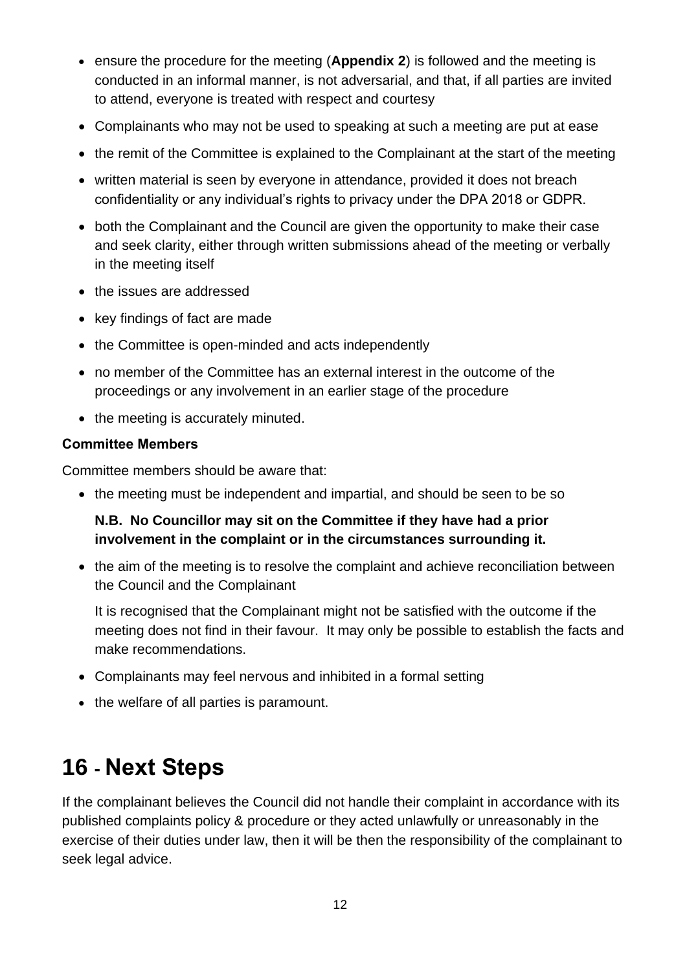- ensure the procedure for the meeting (**Appendix 2**) is followed and the meeting is conducted in an informal manner, is not adversarial, and that, if all parties are invited to attend, everyone is treated with respect and courtesy
- Complainants who may not be used to speaking at such a meeting are put at ease
- the remit of the Committee is explained to the Complainant at the start of the meeting
- written material is seen by everyone in attendance, provided it does not breach confidentiality or any individual's rights to privacy under the DPA 2018 or GDPR.
- both the Complainant and the Council are given the opportunity to make their case and seek clarity, either through written submissions ahead of the meeting or verbally in the meeting itself
- the issues are addressed
- key findings of fact are made
- the Committee is open-minded and acts independently
- no member of the Committee has an external interest in the outcome of the proceedings or any involvement in an earlier stage of the procedure
- the meeting is accurately minuted.

#### **Committee Members**

Committee members should be aware that:

• the meeting must be independent and impartial, and should be seen to be so

### **N.B. No Councillor may sit on the Committee if they have had a prior involvement in the complaint or in the circumstances surrounding it.**

• the aim of the meeting is to resolve the complaint and achieve reconciliation between the Council and the Complainant

It is recognised that the Complainant might not be satisfied with the outcome if the meeting does not find in their favour. It may only be possible to establish the facts and make recommendations.

- Complainants may feel nervous and inhibited in a formal setting
- the welfare of all parties is paramount.

# **16 - Next Steps**

If the complainant believes the Council did not handle their complaint in accordance with its published complaints policy & procedure or they acted unlawfully or unreasonably in the exercise of their duties under law, then it will be then the responsibility of the complainant to seek legal advice.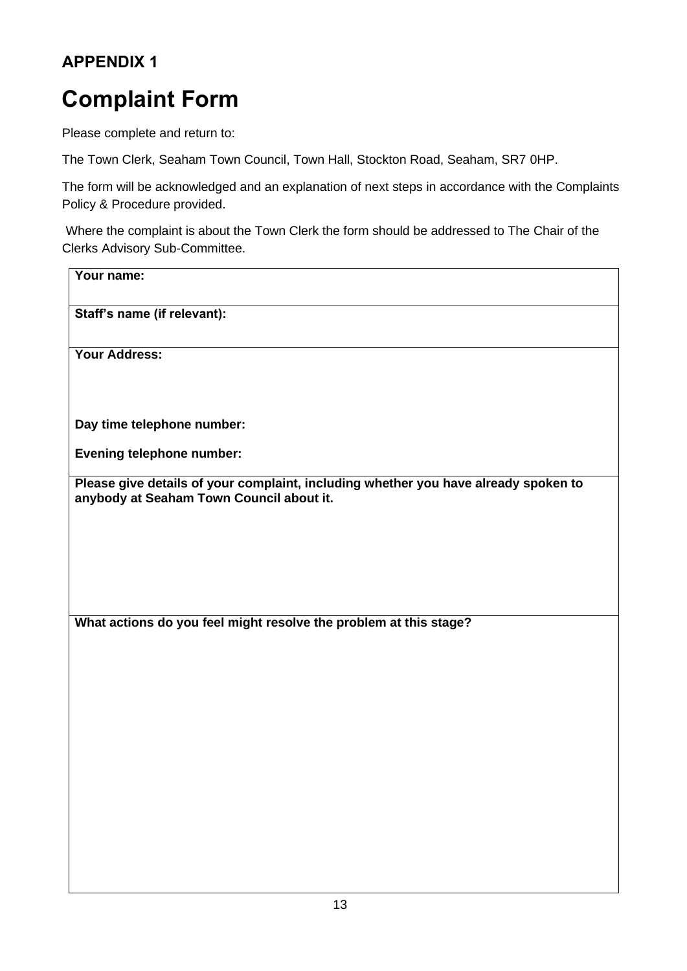### **APPENDIX 1**

# **Complaint Form**

Please complete and return to:

The Town Clerk, Seaham Town Council, Town Hall, Stockton Road, Seaham, SR7 0HP.

The form will be acknowledged and an explanation of next steps in accordance with the Complaints Policy & Procedure provided.

Where the complaint is about the Town Clerk the form should be addressed to The Chair of the Clerks Advisory Sub-Committee.

| Your name:                                                                                                                      |
|---------------------------------------------------------------------------------------------------------------------------------|
| Staff's name (if relevant):                                                                                                     |
| <b>Your Address:</b>                                                                                                            |
| Day time telephone number:                                                                                                      |
| <b>Evening telephone number:</b>                                                                                                |
| Please give details of your complaint, including whether you have already spoken to<br>anybody at Seaham Town Council about it. |
|                                                                                                                                 |
| What actions do you feel might resolve the problem at this stage?                                                               |
|                                                                                                                                 |
|                                                                                                                                 |
|                                                                                                                                 |
|                                                                                                                                 |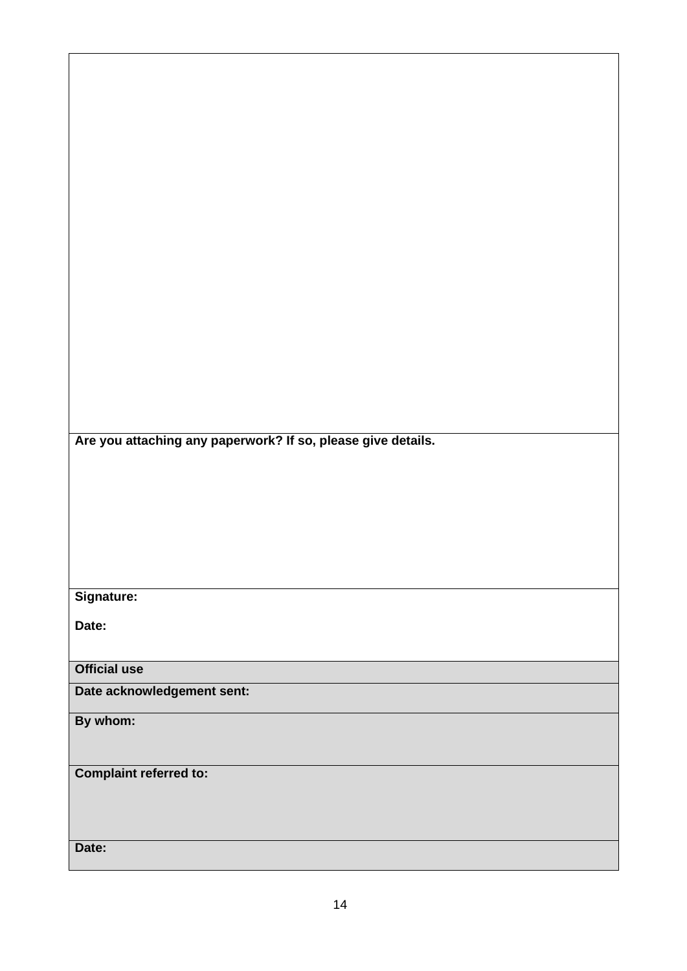**Are you attaching any paperwork? If so, please give details.**

### **Signature:**

**Date:**

**Official use**

**Date acknowledgement sent:**

**By whom:** 

**Complaint referred to:**

**Date:**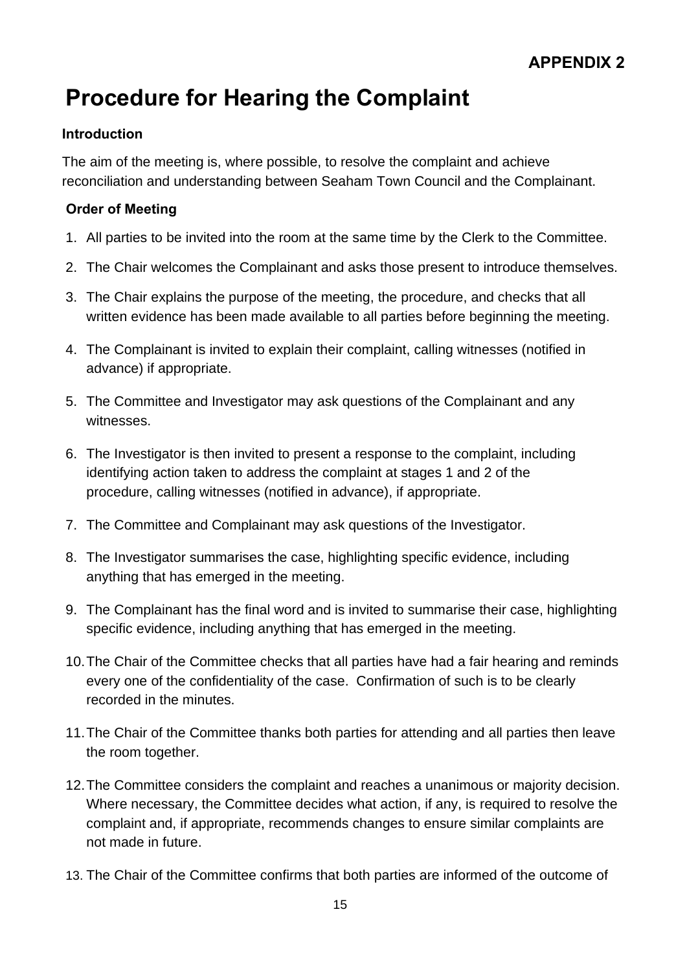# **Procedure for Hearing the Complaint**

#### **Introduction**

The aim of the meeting is, where possible, to resolve the complaint and achieve reconciliation and understanding between Seaham Town Council and the Complainant.

#### **Order of Meeting**

- 1. All parties to be invited into the room at the same time by the Clerk to the Committee.
- 2. The Chair welcomes the Complainant and asks those present to introduce themselves.
- 3. The Chair explains the purpose of the meeting, the procedure, and checks that all written evidence has been made available to all parties before beginning the meeting.
- 4. The Complainant is invited to explain their complaint, calling witnesses (notified in advance) if appropriate.
- 5. The Committee and Investigator may ask questions of the Complainant and any witnesses.
- 6. The Investigator is then invited to present a response to the complaint, including identifying action taken to address the complaint at stages 1 and 2 of the procedure, calling witnesses (notified in advance), if appropriate.
- 7. The Committee and Complainant may ask questions of the Investigator.
- 8. The Investigator summarises the case, highlighting specific evidence, including anything that has emerged in the meeting.
- 9. The Complainant has the final word and is invited to summarise their case, highlighting specific evidence, including anything that has emerged in the meeting.
- 10.The Chair of the Committee checks that all parties have had a fair hearing and reminds every one of the confidentiality of the case. Confirmation of such is to be clearly recorded in the minutes.
- 11.The Chair of the Committee thanks both parties for attending and all parties then leave the room together.
- 12.The Committee considers the complaint and reaches a unanimous or majority decision. Where necessary, the Committee decides what action, if any, is required to resolve the complaint and, if appropriate, recommends changes to ensure similar complaints are not made in future.
- 13. The Chair of the Committee confirms that both parties are informed of the outcome of